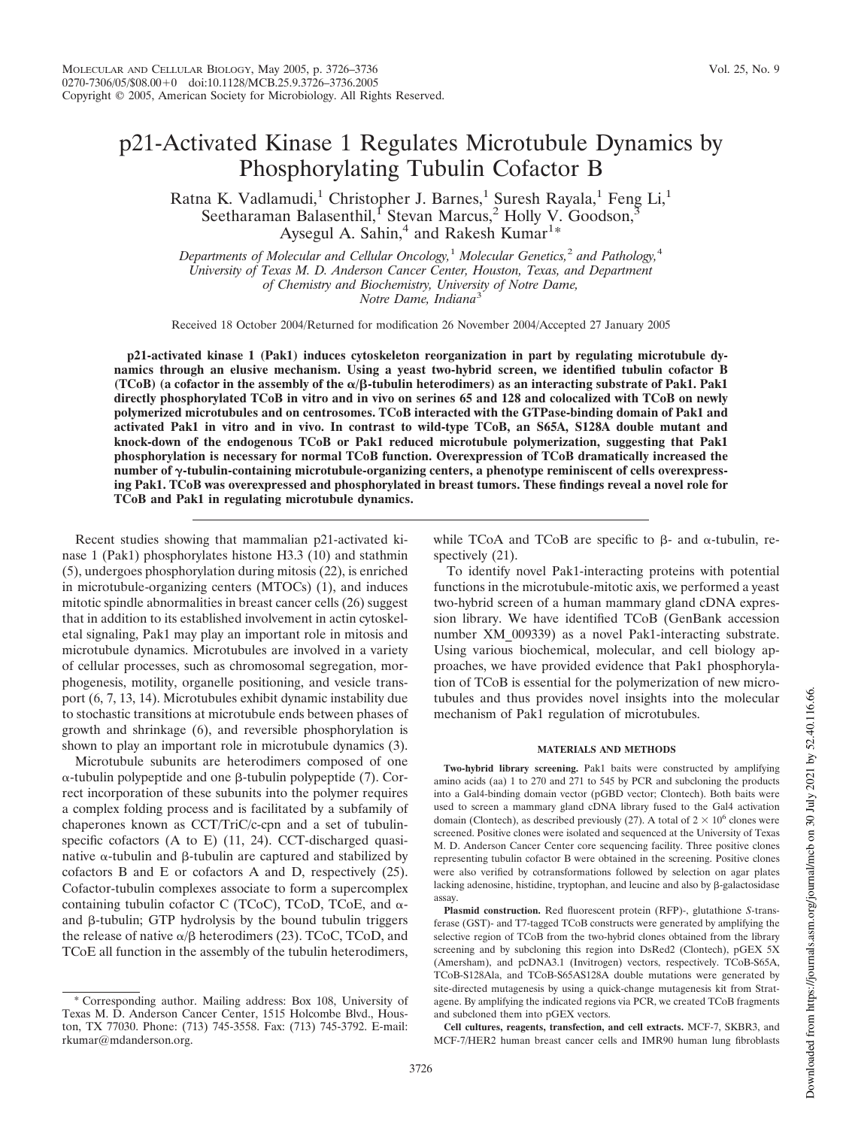# p21-Activated Kinase 1 Regulates Microtubule Dynamics by Phosphorylating Tubulin Cofactor B

Ratna K. Vadlamudi,<sup>1</sup> Christopher J. Barnes,<sup>1</sup> Suresh Rayala,<sup>1</sup> Feng Li,<sup>1</sup> Seetharaman Balasenthil,<sup>I</sup> Stevan Marcus,<sup>2</sup> Holly V. Goodson,<sup>3</sup> Aysegul A. Sahin,<sup>4</sup> and Rakesh Kumar<sup>1</sup>\*

*Departments of Molecular and Cellular Oncology,*<sup>1</sup> *Molecular Genetics,*<sup>2</sup> *and Pathology,*<sup>4</sup> *University of Texas M. D. Anderson Cancer Center, Houston, Texas, and Department of Chemistry and Biochemistry, University of Notre Dame, Notre Dame, Indiana*<sup>3</sup>

Received 18 October 2004/Returned for modification 26 November 2004/Accepted 27 January 2005

**p21-activated kinase 1 (Pak1) induces cytoskeleton reorganization in part by regulating microtubule dynamics through an elusive mechanism. Using a yeast two-hybrid screen, we identified tubulin cofactor B (TCoB)** (a cofactor in the assembly of the  $\alpha/\beta$ -tubulin heterodimers) as an interacting substrate of Pak1. Pak1 **directly phosphorylated TCoB in vitro and in vivo on serines 65 and 128 and colocalized with TCoB on newly polymerized microtubules and on centrosomes. TCoB interacted with the GTPase-binding domain of Pak1 and activated Pak1 in vitro and in vivo. In contrast to wild-type TCoB, an S65A, S128A double mutant and knock-down of the endogenous TCoB or Pak1 reduced microtubule polymerization, suggesting that Pak1 phosphorylation is necessary for normal TCoB function. Overexpression of TCoB dramatically increased the** number of γ-tubulin-containing microtubule-organizing centers, a phenotype reminiscent of cells overexpress**ing Pak1. TCoB was overexpressed and phosphorylated in breast tumors. These findings reveal a novel role for TCoB and Pak1 in regulating microtubule dynamics.**

Recent studies showing that mammalian p21-activated kinase 1 (Pak1) phosphorylates histone H3.3 (10) and stathmin (5), undergoes phosphorylation during mitosis (22), is enriched in microtubule-organizing centers (MTOCs) (1), and induces mitotic spindle abnormalities in breast cancer cells (26) suggest that in addition to its established involvement in actin cytoskeletal signaling, Pak1 may play an important role in mitosis and microtubule dynamics. Microtubules are involved in a variety of cellular processes, such as chromosomal segregation, morphogenesis, motility, organelle positioning, and vesicle transport (6, 7, 13, 14). Microtubules exhibit dynamic instability due to stochastic transitions at microtubule ends between phases of growth and shrinkage (6), and reversible phosphorylation is shown to play an important role in microtubule dynamics (3).

Microtubule subunits are heterodimers composed of one  $\alpha$ -tubulin polypeptide and one  $\beta$ -tubulin polypeptide (7). Correct incorporation of these subunits into the polymer requires a complex folding process and is facilitated by a subfamily of chaperones known as CCT/TriC/c-cpn and a set of tubulinspecific cofactors (A to E) (11, 24). CCT-discharged quasinative  $\alpha$ -tubulin and  $\beta$ -tubulin are captured and stabilized by cofactors B and E or cofactors A and D, respectively (25). Cofactor-tubulin complexes associate to form a supercomplex containing tubulin cofactor C (TCoC), TCoD, TCoE, and  $\alpha$ and  $\beta$ -tubulin; GTP hydrolysis by the bound tubulin triggers the release of native  $\alpha/\beta$  heterodimers (23). TCoC, TCoD, and TCoE all function in the assembly of the tubulin heterodimers,

Corresponding author. Mailing address: Box 108, University of Texas M. D. Anderson Cancer Center, 1515 Holcombe Blvd., Houston, TX 77030. Phone: (713) 745-3558. Fax: (713) 745-3792. E-mail: rkumar@mdanderson.org.

while TCoA and TCoB are specific to  $\beta$ - and  $\alpha$ -tubulin, respectively  $(21)$ .

To identify novel Pak1-interacting proteins with potential functions in the microtubule-mitotic axis, we performed a yeast two-hybrid screen of a human mammary gland cDNA expression library. We have identified TCoB (GenBank accession number XM\_009339) as a novel Pak1-interacting substrate. Using various biochemical, molecular, and cell biology approaches, we have provided evidence that Pak1 phosphorylation of TCoB is essential for the polymerization of new microtubules and thus provides novel insights into the molecular mechanism of Pak1 regulation of microtubules.

#### **MATERIALS AND METHODS**

**Two-hybrid library screening.** Pak1 baits were constructed by amplifying amino acids (aa) 1 to 270 and 271 to 545 by PCR and subcloning the products into a Gal4-binding domain vector (pGBD vector; Clontech). Both baits were used to screen a mammary gland cDNA library fused to the Gal4 activation domain (Clontech), as described previously (27). A total of  $2 \times 10^6$  clones were screened. Positive clones were isolated and sequenced at the University of Texas M. D. Anderson Cancer Center core sequencing facility. Three positive clones representing tubulin cofactor B were obtained in the screening. Positive clones were also verified by cotransformations followed by selection on agar plates lacking adenosine, histidine, tryptophan, and leucine and also by  $\beta$ -galactosidase assay.

**Plasmid construction.** Red fluorescent protein (RFP)-, glutathione *S*-transferase (GST)- and T7-tagged TCoB constructs were generated by amplifying the selective region of TCoB from the two-hybrid clones obtained from the library screening and by subcloning this region into DsRed2 (Clontech), pGEX 5X (Amersham), and pcDNA3.1 (Invitrogen) vectors, respectively. TCoB-S65A, TCoB-S128Ala, and TCoB-S65AS128A double mutations were generated by site-directed mutagenesis by using a quick-change mutagenesis kit from Stratagene. By amplifying the indicated regions via PCR, we created TCoB fragments and subcloned them into pGEX vectors.

**Cell cultures, reagents, transfection, and cell extracts.** MCF-7, SKBR3, and MCF-7/HER2 human breast cancer cells and IMR90 human lung fibroblasts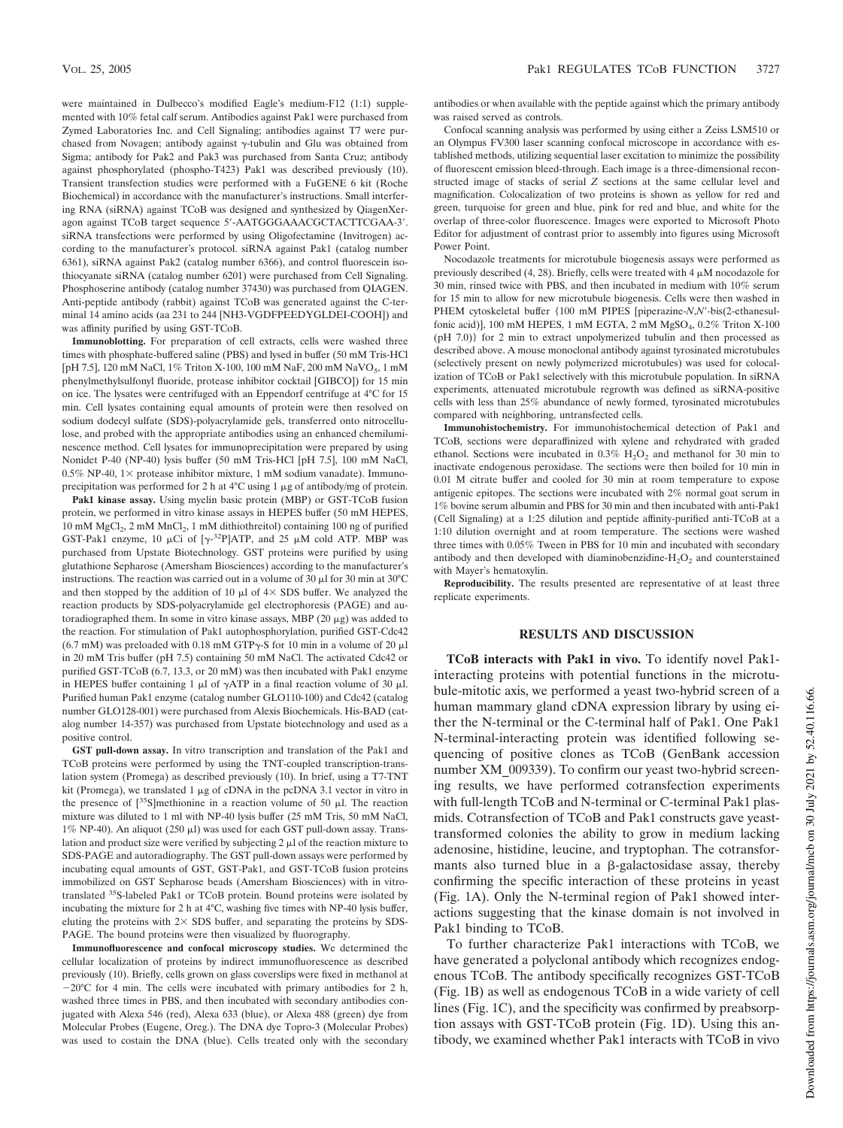were maintained in Dulbecco's modified Eagle's medium-F12 (1:1) supplemented with 10% fetal calf serum. Antibodies against Pak1 were purchased from Zymed Laboratories Inc. and Cell Signaling; antibodies against T7 were purchased from Novagen; antibody against  $\gamma$ -tubulin and Glu was obtained from Sigma; antibody for Pak2 and Pak3 was purchased from Santa Cruz; antibody against phosphorylated (phospho-T423) Pak1 was described previously (10). Transient transfection studies were performed with a FuGENE 6 kit (Roche Biochemical) in accordance with the manufacturer's instructions. Small interfering RNA (siRNA) against TCoB was designed and synthesized by QiagenXeragon against TCoB target sequence 5-AATGGGAAACGCTACTTCGAA-3. siRNA transfections were performed by using Oligofectamine (Invitrogen) according to the manufacturer's protocol. siRNA against Pak1 (catalog number 6361), siRNA against Pak2 (catalog number 6366), and control fluorescein isothiocyanate siRNA (catalog number 6201) were purchased from Cell Signaling. Phosphoserine antibody (catalog number 37430) was purchased from QIAGEN. Anti-peptide antibody (rabbit) against TCoB was generated against the C-terminal 14 amino acids **(**aa 231 to 244 [NH3-VGDFPEEDYGLDEI-COOH]) and was affinity purified by using GST-TCoB.

**Immunoblotting.** For preparation of cell extracts, cells were washed three times with phosphate-buffered saline (PBS) and lysed in buffer (50 mM Tris-HCl [pH 7.5], 120 mM NaCl, 1% Triton X-100, 100 mM NaF, 200 mM NaVO<sub>5</sub>, 1 mM phenylmethylsulfonyl fluoride, protease inhibitor cocktail [GIBCO]) for 15 min on ice. The lysates were centrifuged with an Eppendorf centrifuge at 4°C for 15 min. Cell lysates containing equal amounts of protein were then resolved on sodium dodecyl sulfate (SDS)-polyacrylamide gels, transferred onto nitrocellulose, and probed with the appropriate antibodies using an enhanced chemiluminescence method. Cell lysates for immunoprecipitation were prepared by using Nonidet P-40 (NP-40) lysis buffer (50 mM Tris-HCl [pH 7.5], 100 mM NaCl,  $0.5\%$  NP-40, 1 $\times$  protease inhibitor mixture, 1 mM sodium vanadate). Immunoprecipitation was performed for 2 h at  $4^{\circ}$ C using 1  $\mu$ g of antibody/mg of protein.

**Pak1 kinase assay.** Using myelin basic protein (MBP) or GST-TCoB fusion protein, we performed in vitro kinase assays in HEPES buffer (50 mM HEPES, 10 mM MgCl<sub>2</sub>, 2 mM MnCl<sub>2</sub>, 1 mM dithiothreitol) containing 100 ng of purified GST-Pak1 enzyme, 10  $\mu$ Ci of [ $\gamma$ -<sup>32</sup>P]ATP, and 25  $\mu$ M cold ATP. MBP was purchased from Upstate Biotechnology. GST proteins were purified by using glutathione Sepharose (Amersham Biosciences) according to the manufacturer's instructions. The reaction was carried out in a volume of 30  $\mu$ l for 30 min at 30°C and then stopped by the addition of 10  $\mu$ l of 4  $\times$  SDS buffer. We analyzed the reaction products by SDS-polyacrylamide gel electrophoresis (PAGE) and autoradiographed them. In some in vitro kinase assays, MBP (20  $\mu$ g) was added to the reaction. For stimulation of Pak1 autophosphorylation, purified GST-Cdc42 (6.7 mM) was preloaded with 0.18 mM GTP $\gamma$ -S for 10 min in a volume of 20  $\mu$ l in 20 mM Tris buffer (pH 7.5) containing 50 mM NaCl. The activated Cdc42 or purified GST-TCoB (6.7, 13.3, or 20 mM) was then incubated with Pak1 enzyme in HEPES buffer containing 1  $\mu$ l of  $\gamma$ ATP in a final reaction volume of 30  $\mu$ l. Purified human Pak1 enzyme (catalog number GLO110-100) and Cdc42 (catalog number GLO128-001) were purchased from Alexis Biochemicals. His-BAD (catalog number 14-357) was purchased from Upstate biotechnology and used as a positive control.

**GST pull-down assay.** In vitro transcription and translation of the Pak1 and TCoB proteins were performed by using the TNT-coupled transcription-translation system (Promega) as described previously (10). In brief, using a T7-TNT kit (Promega), we translated  $1 \mu$ g of cDNA in the pcDNA 3.1 vector in vitro in the presence of  $[^{35}S]$ methionine in a reaction volume of 50  $\mu$ l. The reaction mixture was diluted to 1 ml with NP-40 lysis buffer (25 mM Tris, 50 mM NaCl, 1% NP-40). An aliquot (250  $\mu$ l) was used for each GST pull-down assay. Translation and product size were verified by subjecting  $2 \mu$  of the reaction mixture to SDS-PAGE and autoradiography. The GST pull-down assays were performed by incubating equal amounts of GST, GST-Pak1, and GST-TCoB fusion proteins immobilized on GST Sepharose beads (Amersham Biosciences) with in vitrotranslated <sup>35</sup>S-labeled Pak1 or TCoB protein. Bound proteins were isolated by incubating the mixture for 2 h at 4°C, washing five times with NP-40 lysis buffer, eluting the proteins with  $2 \times$  SDS buffer, and separating the proteins by SDS-PAGE. The bound proteins were then visualized by fluorography.

**Immunofluorescence and confocal microscopy studies.** We determined the cellular localization of proteins by indirect immunofluorescence as described previously (10). Briefly, cells grown on glass coverslips were fixed in methanol at  $-20^{\circ}$ C for 4 min. The cells were incubated with primary antibodies for 2 h, washed three times in PBS, and then incubated with secondary antibodies conjugated with Alexa 546 (red), Alexa 633 (blue), or Alexa 488 (green) dye from Molecular Probes (Eugene, Oreg.). The DNA dye Topro-3 (Molecular Probes) was used to costain the DNA (blue). Cells treated only with the secondary antibodies or when available with the peptide against which the primary antibody was raised served as controls.

Confocal scanning analysis was performed by using either a Zeiss LSM510 or an Olympus FV300 laser scanning confocal microscope in accordance with established methods, utilizing sequential laser excitation to minimize the possibility of fluorescent emission bleed-through. Each image is a three-dimensional reconstructed image of stacks of serial *Z* sections at the same cellular level and magnification. Colocalization of two proteins is shown as yellow for red and green, turquoise for green and blue, pink for red and blue, and white for the overlap of three-color fluorescence. Images were exported to Microsoft Photo Editor for adjustment of contrast prior to assembly into figures using Microsoft Power Point.

Nocodazole treatments for microtubule biogenesis assays were performed as previously described  $(4, 28)$ . Briefly, cells were treated with  $4 \mu$ M nocodazole for 30 min, rinsed twice with PBS, and then incubated in medium with 10% serum for 15 min to allow for new microtubule biogenesis. Cells were then washed in PHEM cytoskeletal buffer {100 mM PIPES [piperazine-*N*,*N*-bis(2-ethanesulfonic acid)], 100 mM HEPES, 1 mM EGTA, 2 mM  $MgSO_4$ , 0.2% Triton X-100 (pH 7.0)} for 2 min to extract unpolymerized tubulin and then processed as described above. A mouse monoclonal antibody against tyrosinated microtubules (selectively present on newly polymerized microtubules) was used for colocalization of TCoB or Pak1 selectively with this microtubule population. In siRNA experiments, attenuated microtubule regrowth was defined as siRNA-positive cells with less than 25% abundance of newly formed, tyrosinated microtubules compared with neighboring, untransfected cells.

**Immunohistochemistry.** For immunohistochemical detection of Pak1 and TCoB, sections were deparaffinized with xylene and rehydrated with graded ethanol. Sections were incubated in  $0.3\%$  H<sub>2</sub>O<sub>2</sub> and methanol for 30 min to inactivate endogenous peroxidase. The sections were then boiled for 10 min in 0.01 M citrate buffer and cooled for 30 min at room temperature to expose antigenic epitopes. The sections were incubated with 2% normal goat serum in 1% bovine serum albumin and PBS for 30 min and then incubated with anti-Pak1 (Cell Signaling) at a 1:25 dilution and peptide affinity-purified anti-TCoB at a 1:10 dilution overnight and at room temperature. The sections were washed three times with 0.05% Tween in PBS for 10 min and incubated with secondary antibody and then developed with diaminobenzidine- $H_2O_2$  and counterstained with Mayer's hematoxylin.

**Reproducibility.** The results presented are representative of at least three replicate experiments.

### **RESULTS AND DISCUSSION**

**TCoB interacts with Pak1 in vivo.** To identify novel Pak1 interacting proteins with potential functions in the microtubule-mitotic axis, we performed a yeast two-hybrid screen of a human mammary gland cDNA expression library by using either the N-terminal or the C-terminal half of Pak1. One Pak1 N-terminal-interacting protein was identified following sequencing of positive clones as TCoB (GenBank accession number XM\_009339). To confirm our yeast two-hybrid screening results, we have performed cotransfection experiments with full-length TCoB and N-terminal or C-terminal Pak1 plasmids. Cotransfection of TCoB and Pak1 constructs gave yeasttransformed colonies the ability to grow in medium lacking adenosine, histidine, leucine, and tryptophan. The cotransformants also turned blue in a  $\beta$ -galactosidase assay, thereby confirming the specific interaction of these proteins in yeast (Fig. 1A). Only the N-terminal region of Pak1 showed interactions suggesting that the kinase domain is not involved in Pak1 binding to TCoB.

To further characterize Pak1 interactions with TCoB, we have generated a polyclonal antibody which recognizes endogenous TCoB. The antibody specifically recognizes GST-TCoB (Fig. 1B) as well as endogenous TCoB in a wide variety of cell lines (Fig. 1C), and the specificity was confirmed by preabsorption assays with GST-TCoB protein (Fig. 1D). Using this antibody, we examined whether Pak1 interacts with TCoB in vivo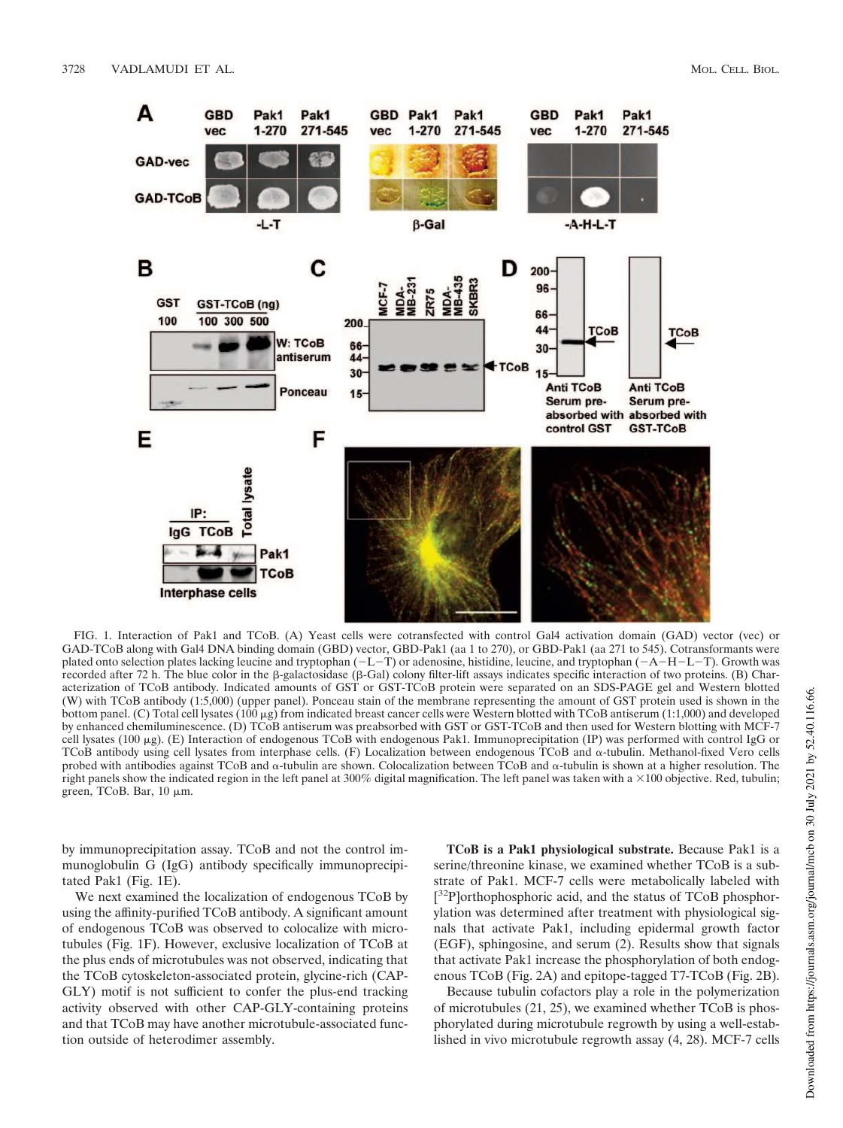

FIG. 1. Interaction of Pak1 and TCoB. (A) Yeast cells were cotransfected with control Gal4 activation domain (GAD) vector (vec) or GAD-TCoB along with Gal4 DNA binding domain (GBD) vector, GBD-Pak1 (aa 1 to 270), or GBD-Pak1 (aa 271 to 545). Cotransformants were plated onto selection plates lacking leucine and tryptophan  $(-L-T)$  or adenosine, histidine, leucine, and tryptophan  $(-A-H-L-T)$ . Growth was recorded after 72 h. The blue color in the  $\beta$ -galactosidase ( $\beta$ -Gal) colony filter-lift assays indicates specific interaction of two proteins. (B) Characterization of TCoB antibody. Indicated amounts of GST or GST-TCoB protein were separated on an SDS-PAGE gel and Western blotted (W) with TCoB antibody (1:5,000) (upper panel). Ponceau stain of the membrane representing the amount of GST protein used is shown in the bottom panel. (C) Total cell lysates ( $100 \mu$ g) from indicated breast cancer cells were Western blotted with TCoB antiserum (1:1,000) and developed by enhanced chemiluminescence. (D) TCoB antiserum was preabsorbed with GST or GST-TCoB and then used for Western blotting with MCF-7 cell lysates (100  $\mu$ g). (E) Interaction of endogenous TCoB with endogenous Pak1. Immunoprecipitation (IP) was performed with control IgG or TCoB antibody using cell lysates from interphase cells. (F) Localization between endogenous TCoB and  $\alpha$ -tubulin. Methanol-fixed Vero cells probed with antibodies against TCoB and  $\alpha$ -tubulin are shown. Colocalization between TCoB and  $\alpha$ -tubulin is shown at a higher resolution. The right panels show the indicated region in the left panel at 300% digital magnification. The left panel was taken with a  $\times 100$  objective. Red, tubulin; green, TCoB. Bar,  $10 \mu m$ .

by immunoprecipitation assay. TCoB and not the control immunoglobulin G (IgG) antibody specifically immunoprecipitated Pak1 (Fig. 1E).

We next examined the localization of endogenous TCoB by using the affinity-purified TCoB antibody. A significant amount of endogenous TCoB was observed to colocalize with microtubules (Fig. 1F). However, exclusive localization of TCoB at the plus ends of microtubules was not observed, indicating that the TCoB cytoskeleton-associated protein, glycine-rich (CAP-GLY) motif is not sufficient to confer the plus-end tracking activity observed with other CAP-GLY-containing proteins and that TCoB may have another microtubule-associated function outside of heterodimer assembly.

**TCoB is a Pak1 physiological substrate.** Because Pak1 is a serine/threonine kinase, we examined whether TCoB is a substrate of Pak1. MCF-7 cells were metabolically labeled with [<sup>32</sup>P]orthophosphoric acid, and the status of TCoB phosphorylation was determined after treatment with physiological signals that activate Pak1, including epidermal growth factor (EGF), sphingosine, and serum (2). Results show that signals that activate Pak1 increase the phosphorylation of both endogenous TCoB (Fig. 2A) and epitope-tagged T7-TCoB (Fig. 2B).

Because tubulin cofactors play a role in the polymerization of microtubules (21, 25), we examined whether TCoB is phosphorylated during microtubule regrowth by using a well-established in vivo microtubule regrowth assay (4, 28). MCF-7 cells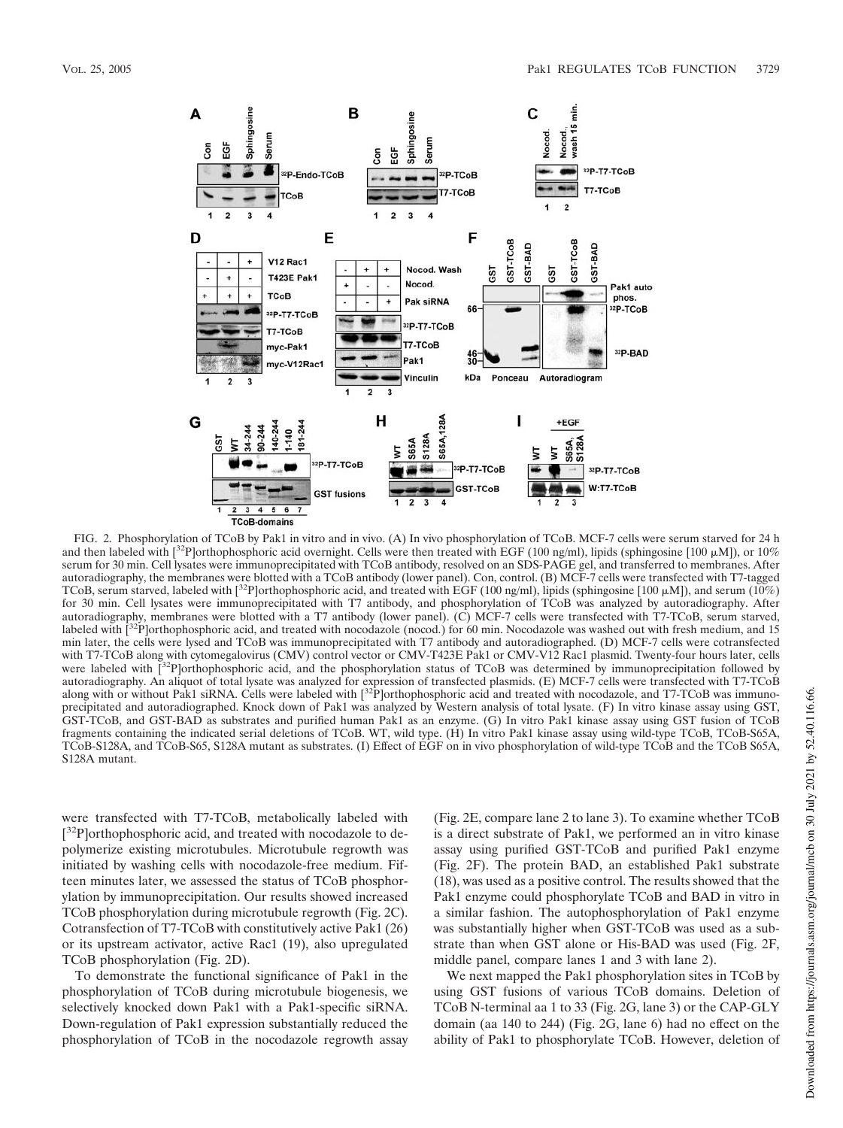

FIG. 2. Phosphorylation of TCoB by Pak1 in vitro and in vivo. (A) In vivo phosphorylation of TCoB. MCF-7 cells were serum starved for 24 h and then labeled with  $\binom{32}{}$  orthophosphoric acid overnight. Cells were then treated with EGF (100 ng/ml), lipids (sphingosine [100  $\mu$ M]), or 10% serum for 30 min. Cell lysates were immunoprecipitated with TCoB antibody, resolved on an SDS-PAGE gel, and transferred to membranes. After autoradiography, the membranes were blotted with a TCoB antibody (lower panel). Con, control. (B) MCF-7 cells were transfected with T7-tagged TCoB, serum starved, labeled with [<sup>32</sup>P]orthophosphoric acid, and treated with EGF (100 ng/ml), lipids (sphingosine [100  $\mu$ M]), and serum (10%) for 30 min. Cell lysates were immunoprecipitated with T7 antibody, and phosphorylation of TCoB was analyzed by autoradiography. After autoradiography, membranes were blotted with a T7 antibody (lower panel). (C) MCF-7 cells were transfected with T7-TCoB, serum starved, labeled with [<sup>32</sup>P]orthophosphoric acid, and treated with nocodazole (nocod.) for 60 min. Nocodazole was washed out with fresh medium, and 15 min later, the cells were lysed and TCoB was immunoprecipitated with T7 antibody and autoradiographed. (D) MCF-7 cells were cotransfected with T7-TCoB along with cytomegalovirus (CMV) control vector or CMV-T423E Pak1 or CMV-V12 Rac1 plasmid. Twenty-four hours later, cells<br>were labeled with [<sup>32</sup>P]orthophosphoric acid, and the phosphorylation status of TCoB w autoradiography. An aliquot of total lysate was analyzed for expression of transfected plasmids. (E) MCF-7 cells were transfected with T7-TCoB along with or without Pak1 siRNA. Cells were labeled with [<sup>32</sup>P]orthophosphoric acid and treated with nocodazole, and T7-TCoB was immunoprecipitated and autoradiographed. Knock down of Pak1 was analyzed by Western analysis of total lysate. (F) In vitro kinase assay using GST, GST-TCoB, and GST-BAD as substrates and purified human Pak1 as an enzyme. (G) In vitro Pak1 kinase assay using GST fusion of TCoB fragments containing the indicated serial deletions of TCoB. WT, wild type. (H) In vitro Pak1 kinase assay using wild-type TCoB, TCoB-S65A, TCoB-S128A, and TCoB-S65, S128A mutant as substrates. (I) Effect of EGF on in vivo phosphorylation of wild-type TCoB and the TCoB S65A, S128A mutant.

were transfected with T7-TCoB, metabolically labeled with [<sup>32</sup>P]orthophosphoric acid, and treated with nocodazole to depolymerize existing microtubules. Microtubule regrowth was initiated by washing cells with nocodazole-free medium. Fifteen minutes later, we assessed the status of TCoB phosphorylation by immunoprecipitation. Our results showed increased TCoB phosphorylation during microtubule regrowth (Fig. 2C). Cotransfection of T7-TCoB with constitutively active Pak1 (26) or its upstream activator, active Rac1 (19), also upregulated TCoB phosphorylation (Fig. 2D).

To demonstrate the functional significance of Pak1 in the phosphorylation of TCoB during microtubule biogenesis, we selectively knocked down Pak1 with a Pak1-specific siRNA. Down-regulation of Pak1 expression substantially reduced the phosphorylation of TCoB in the nocodazole regrowth assay

(Fig. 2E, compare lane 2 to lane 3). To examine whether TCoB is a direct substrate of Pak1, we performed an in vitro kinase assay using purified GST-TCoB and purified Pak1 enzyme (Fig. 2F). The protein BAD, an established Pak1 substrate (18), was used as a positive control. The results showed that the Pak1 enzyme could phosphorylate TCoB and BAD in vitro in a similar fashion. The autophosphorylation of Pak1 enzyme was substantially higher when GST-TCoB was used as a substrate than when GST alone or His-BAD was used (Fig. 2F, middle panel, compare lanes 1 and 3 with lane 2).

We next mapped the Pak1 phosphorylation sites in TCoB by using GST fusions of various TCoB domains. Deletion of TCoB N-terminal aa 1 to 33 (Fig. 2G, lane 3) or the CAP-GLY domain (aa 140 to 244) (Fig. 2G, lane 6) had no effect on the ability of Pak1 to phosphorylate TCoB. However, deletion of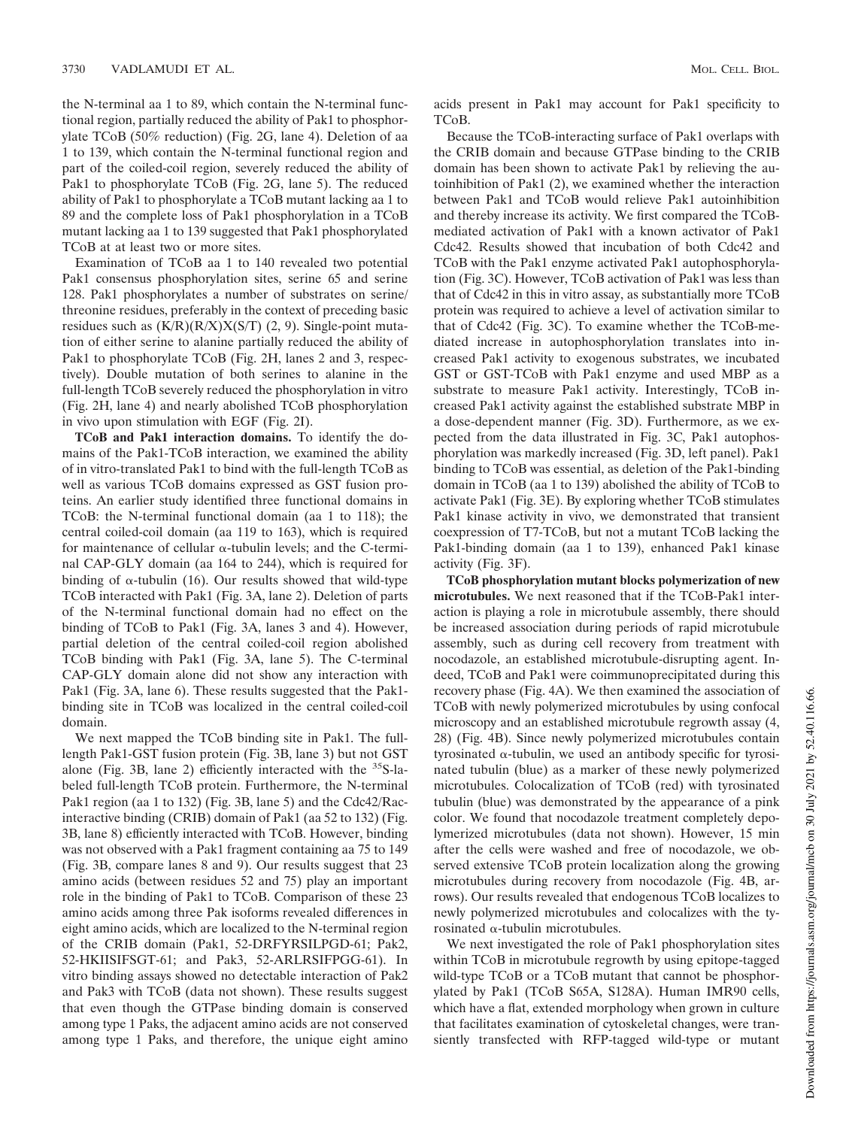the N-terminal aa 1 to 89, which contain the N-terminal functional region, partially reduced the ability of Pak1 to phosphorylate TCoB (50% reduction) (Fig. 2G, lane 4). Deletion of aa 1 to 139, which contain the N-terminal functional region and part of the coiled-coil region, severely reduced the ability of Pak1 to phosphorylate TCoB (Fig. 2G, lane 5). The reduced ability of Pak1 to phosphorylate a TCoB mutant lacking aa 1 to 89 and the complete loss of Pak1 phosphorylation in a TCoB mutant lacking aa 1 to 139 suggested that Pak1 phosphorylated TCoB at at least two or more sites.

Examination of TCoB aa 1 to 140 revealed two potential Pak1 consensus phosphorylation sites, serine 65 and serine 128. Pak1 phosphorylates a number of substrates on serine/ threonine residues, preferably in the context of preceding basic residues such as  $(K/R)(R/X)X(S/T)$  (2, 9). Single-point mutation of either serine to alanine partially reduced the ability of Pak1 to phosphorylate TCoB (Fig. 2H, lanes 2 and 3, respectively). Double mutation of both serines to alanine in the full-length TCoB severely reduced the phosphorylation in vitro (Fig. 2H, lane 4) and nearly abolished TCoB phosphorylation in vivo upon stimulation with EGF (Fig. 2I).

**TCoB and Pak1 interaction domains.** To identify the domains of the Pak1-TCoB interaction, we examined the ability of in vitro-translated Pak1 to bind with the full-length TCoB as well as various TCoB domains expressed as GST fusion proteins. An earlier study identified three functional domains in TCoB: the N-terminal functional domain (aa 1 to 118); the central coiled-coil domain (aa 119 to 163), which is required for maintenance of cellular  $\alpha$ -tubulin levels; and the C-terminal CAP-GLY domain (aa 164 to 244), which is required for binding of  $\alpha$ -tubulin (16). Our results showed that wild-type TCoB interacted with Pak1 (Fig. 3A, lane 2). Deletion of parts of the N-terminal functional domain had no effect on the binding of TCoB to Pak1 (Fig. 3A, lanes 3 and 4). However, partial deletion of the central coiled-coil region abolished TCoB binding with Pak1 (Fig. 3A, lane 5). The C-terminal CAP-GLY domain alone did not show any interaction with Pak1 (Fig. 3A, lane 6). These results suggested that the Pak1 binding site in TCoB was localized in the central coiled-coil domain.

We next mapped the TCoB binding site in Pak1. The fulllength Pak1-GST fusion protein (Fig. 3B, lane 3) but not GST alone (Fig. 3B, lane 2) efficiently interacted with the  $35$ S-labeled full-length TCoB protein. Furthermore, the N-terminal Pak1 region (aa 1 to 132) (Fig. 3B, lane 5) and the Cdc42/Racinteractive binding (CRIB) domain of Pak1 (aa 52 to 132) (Fig. 3B, lane 8) efficiently interacted with TCoB. However, binding was not observed with a Pak1 fragment containing aa 75 to 149 (Fig. 3B, compare lanes 8 and 9). Our results suggest that 23 amino acids (between residues 52 and 75) play an important role in the binding of Pak1 to TCoB. Comparison of these 23 amino acids among three Pak isoforms revealed differences in eight amino acids, which are localized to the N-terminal region of the CRIB domain (Pak1, 52-DRFYRSILPGD-61; Pak2, 52-HKIISIFSGT-61; and Pak3, 52-ARLRSIFPGG-61). In vitro binding assays showed no detectable interaction of Pak2 and Pak3 with TCoB (data not shown). These results suggest that even though the GTPase binding domain is conserved among type 1 Paks, the adjacent amino acids are not conserved among type 1 Paks, and therefore, the unique eight amino

acids present in Pak1 may account for Pak1 specificity to TCoB.

Because the TCoB-interacting surface of Pak1 overlaps with the CRIB domain and because GTPase binding to the CRIB domain has been shown to activate Pak1 by relieving the autoinhibition of Pak1 (2), we examined whether the interaction between Pak1 and TCoB would relieve Pak1 autoinhibition and thereby increase its activity. We first compared the TCoBmediated activation of Pak1 with a known activator of Pak1 Cdc42. Results showed that incubation of both Cdc42 and TCoB with the Pak1 enzyme activated Pak1 autophosphorylation (Fig. 3C). However, TCoB activation of Pak1 was less than that of Cdc42 in this in vitro assay, as substantially more TCoB protein was required to achieve a level of activation similar to that of Cdc42 (Fig. 3C). To examine whether the TCoB-mediated increase in autophosphorylation translates into increased Pak1 activity to exogenous substrates, we incubated GST or GST-TCoB with Pak1 enzyme and used MBP as a substrate to measure Pak1 activity. Interestingly, TCoB increased Pak1 activity against the established substrate MBP in a dose-dependent manner (Fig. 3D). Furthermore, as we expected from the data illustrated in Fig. 3C, Pak1 autophosphorylation was markedly increased (Fig. 3D, left panel). Pak1 binding to TCoB was essential, as deletion of the Pak1-binding domain in TCoB (aa 1 to 139) abolished the ability of TCoB to activate Pak1 (Fig. 3E). By exploring whether TCoB stimulates Pak1 kinase activity in vivo, we demonstrated that transient coexpression of T7-TCoB, but not a mutant TCoB lacking the Pak1-binding domain (aa 1 to 139), enhanced Pak1 kinase activity (Fig. 3F).

**TCoB phosphorylation mutant blocks polymerization of new microtubules.** We next reasoned that if the TCoB-Pak1 interaction is playing a role in microtubule assembly, there should be increased association during periods of rapid microtubule assembly, such as during cell recovery from treatment with nocodazole, an established microtubule-disrupting agent. Indeed, TCoB and Pak1 were coimmunoprecipitated during this recovery phase (Fig. 4A). We then examined the association of TCoB with newly polymerized microtubules by using confocal microscopy and an established microtubule regrowth assay (4, 28) (Fig. 4B). Since newly polymerized microtubules contain tyrosinated  $\alpha$ -tubulin, we used an antibody specific for tyrosinated tubulin (blue) as a marker of these newly polymerized microtubules. Colocalization of TCoB (red) with tyrosinated tubulin (blue) was demonstrated by the appearance of a pink color. We found that nocodazole treatment completely depolymerized microtubules (data not shown). However, 15 min after the cells were washed and free of nocodazole, we observed extensive TCoB protein localization along the growing microtubules during recovery from nocodazole (Fig. 4B, arrows). Our results revealed that endogenous TCoB localizes to newly polymerized microtubules and colocalizes with the tyrosinated  $\alpha$ -tubulin microtubules.

We next investigated the role of Pak1 phosphorylation sites within TCoB in microtubule regrowth by using epitope-tagged wild-type TCoB or a TCoB mutant that cannot be phosphorylated by Pak1 (TCoB S65A, S128A). Human IMR90 cells, which have a flat, extended morphology when grown in culture that facilitates examination of cytoskeletal changes, were transiently transfected with RFP-tagged wild-type or mutant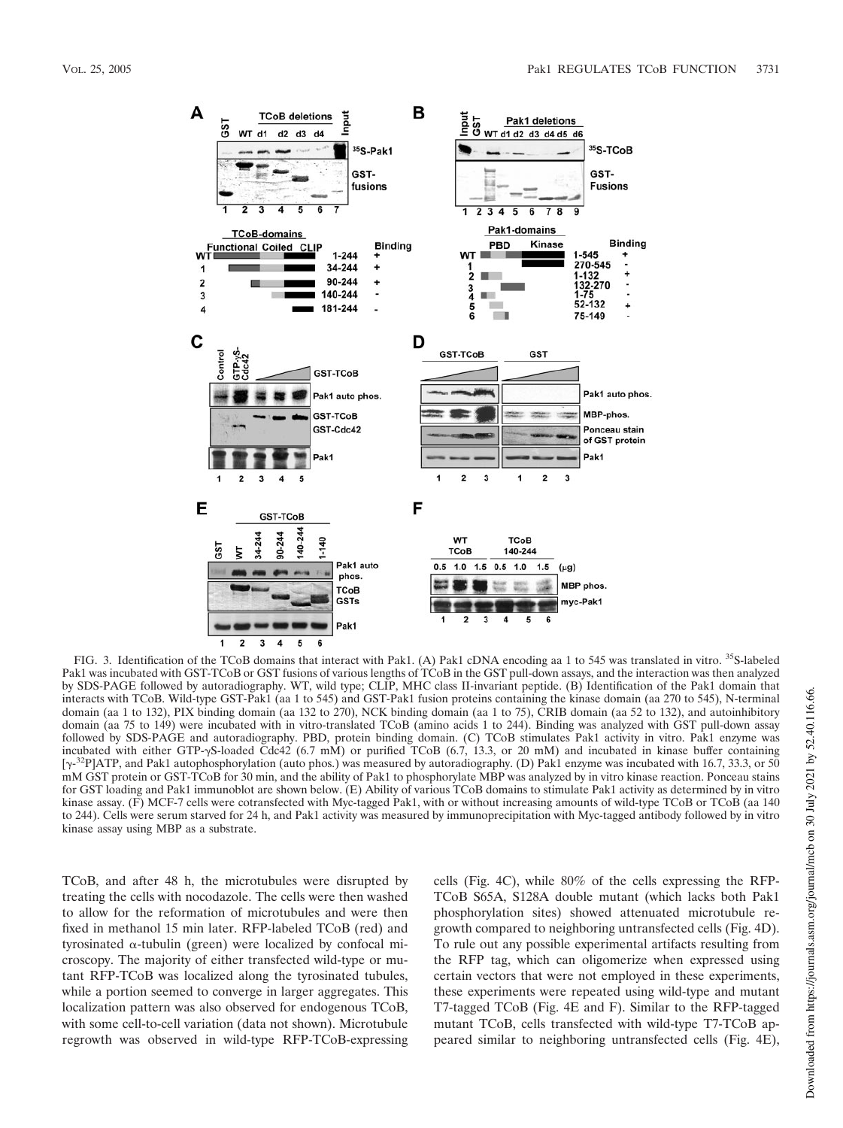

FIG. 3. Identification of the TCoB domains that interact with Pak1. (A) Pak1 cDNA encoding aa 1 to 545 was translated in vitro. <sup>35</sup>S-labeled Pak1 was incubated with GST-TCoB or GST fusions of various lengths of TCoB in the GST pull-down assays, and the interaction was then analyzed by SDS-PAGE followed by autoradiography. WT, wild type; CLIP, MHC class II-invariant peptide. (B) Identification of the Pak1 domain that interacts with TCoB. Wild-type GST-Pak1 (aa 1 to 545) and GST-Pak1 fusion proteins containing the kinase domain (aa 270 to 545), N-terminal domain (aa 1 to 132), PIX binding domain (aa 132 to 270), NCK binding domain (aa 1 to 75), CRIB domain (aa 52 to 132), and autoinhibitory domain (aa 75 to 149) were incubated with in vitro-translated TCoB (amino acids 1 to 244). Binding was analyzed with GST pull-down assay followed by SDS-PAGE and autoradiography. PBD, protein binding domain. (C) TCoB stimulates Pak1 activity in vitro. Pak1 enzyme was incubated with either GTP- $\gamma$ S-loaded Cdc42 (6.7 mM) or purified TCoB (6.7, 13.3, or 20 mM) and incubated in kinase buffer containing [ $\gamma$ -<sup>32</sup>P]ATP, and Pak1 autophosphorylation (auto phos.) was measured by autoradiography. (D) Pak1 enzyme was incubated with 16.7, 33.3, or 50 mM GST protein or GST-TCoB for 30 min, and the ability of Pak1 to phosphorylate MBP was analyzed by in vitro kinase reaction. Ponceau stains for GST loading and Pak1 immunoblot are shown below. (E) Ability of various TCoB domains to stimulate Pak1 activity as determined by in vitro kinase assay. (F) MCF-7 cells were cotransfected with Myc-tagged Pak1, with or without increasing amounts of wild-type TCoB or TCoB (aa 140 to 244). Cells were serum starved for 24 h, and Pak1 activity was measured by immunoprecipitation with Myc-tagged antibody followed by in vitro kinase assay using MBP as a substrate.

TCoB, and after 48 h, the microtubules were disrupted by treating the cells with nocodazole. The cells were then washed to allow for the reformation of microtubules and were then fixed in methanol 15 min later. RFP-labeled TCoB (red) and tyrosinated  $\alpha$ -tubulin (green) were localized by confocal microscopy. The majority of either transfected wild-type or mutant RFP-TCoB was localized along the tyrosinated tubules, while a portion seemed to converge in larger aggregates. This localization pattern was also observed for endogenous TCoB, with some cell-to-cell variation (data not shown). Microtubule regrowth was observed in wild-type RFP-TCoB-expressing cells (Fig. 4C), while 80% of the cells expressing the RFP-TCoB S65A, S128A double mutant (which lacks both Pak1 phosphorylation sites) showed attenuated microtubule regrowth compared to neighboring untransfected cells (Fig. 4D). To rule out any possible experimental artifacts resulting from the RFP tag, which can oligomerize when expressed using certain vectors that were not employed in these experiments, these experiments were repeated using wild-type and mutant T7-tagged TCoB (Fig. 4E and F). Similar to the RFP-tagged mutant TCoB, cells transfected with wild-type T7-TCoB appeared similar to neighboring untransfected cells (Fig. 4E),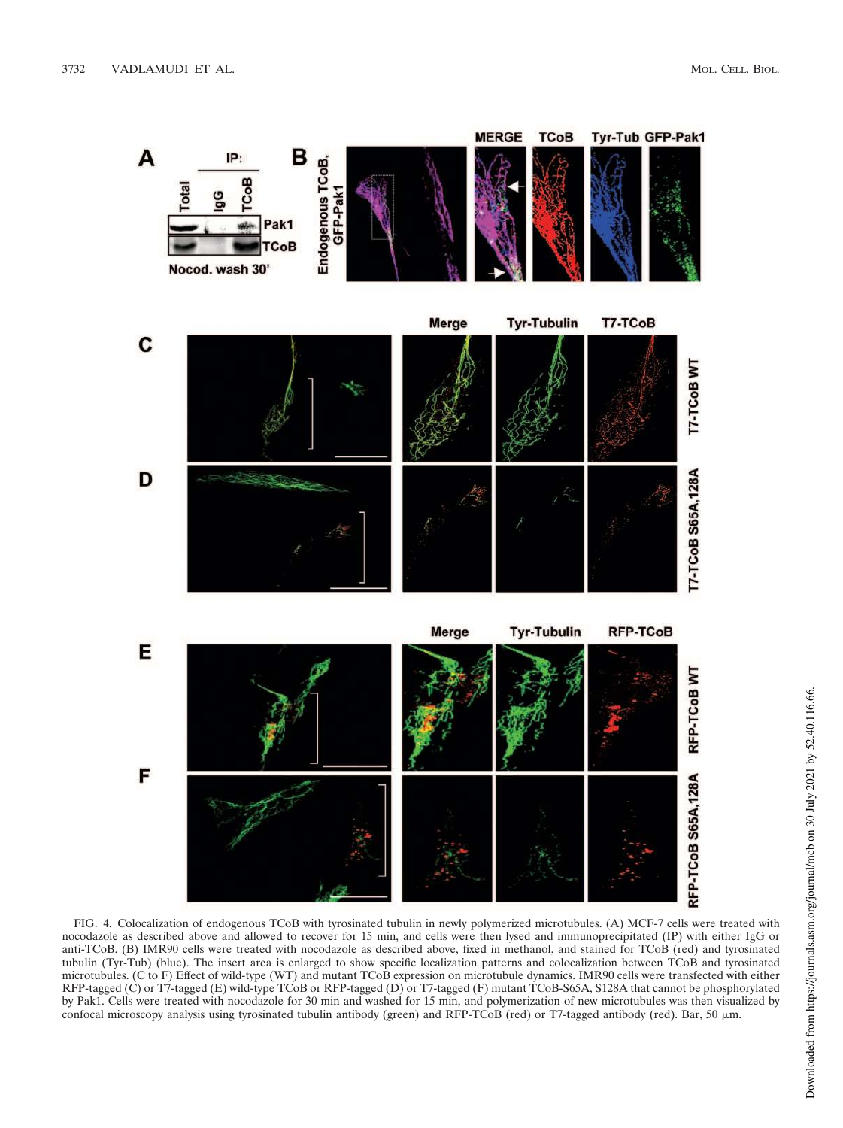

FIG. 4. Colocalization of endogenous TCoB with tyrosinated tubulin in newly polymerized microtubules. (A) MCF-7 cells were treated with nocodazole as described above and allowed to recover for 15 min, and cells were then lysed and immunoprecipitated (IP) with either IgG or anti-TCoB. (B) IMR90 cells were treated with nocodazole as described above, fixed in methanol, and stained for TCoB (red) and tyrosinated tubulin (Tyr-Tub) (blue). The insert area is enlarged to show specific localization patterns and colocalization between TCoB and tyrosinated microtubules. (C to F) Effect of wild-type (WT) and mutant TCoB expression on microtubule dynamics. IMR90 cells were transfected with either RFP-tagged (C) or T7-tagged (E) wild-type TCoB or RFP-tagged (D) or T7-tagged (F) mutant TCoB-S65A, S128A that cannot be phosphorylated by Pak1. Cells were treated with nocodazole for 30 min and washed for 15 min, and polymerization of new microtubules was then visualized by confocal microscopy analysis using tyrosinated tubulin antibody (green) and RFP-TCoB (red) or T7-tagged antibody (red). Bar, 50  $\mu$ m.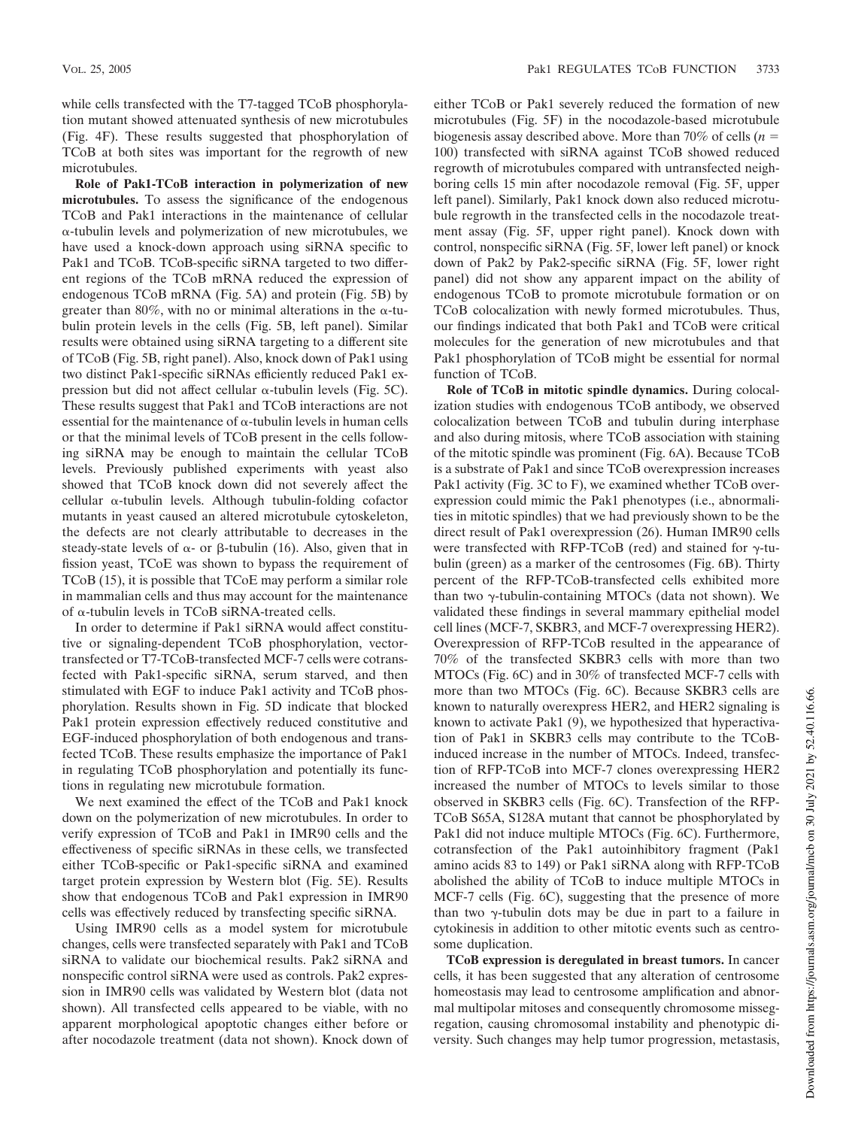**Role of Pak1-TCoB interaction in polymerization of new microtubules.** To assess the significance of the endogenous TCoB and Pak1 interactions in the maintenance of cellular --tubulin levels and polymerization of new microtubules, we have used a knock-down approach using siRNA specific to Pak1 and TCoB. TCoB-specific siRNA targeted to two different regions of the TCoB mRNA reduced the expression of endogenous TCoB mRNA (Fig. 5A) and protein (Fig. 5B) by greater than 80%, with no or minimal alterations in the  $\alpha$ -tubulin protein levels in the cells (Fig. 5B, left panel). Similar results were obtained using siRNA targeting to a different site of TCoB (Fig. 5B, right panel). Also, knock down of Pak1 using two distinct Pak1-specific siRNAs efficiently reduced Pak1 expression but did not affect cellular  $\alpha$ -tubulin levels (Fig. 5C). These results suggest that Pak1 and TCoB interactions are not essential for the maintenance of  $\alpha$ -tubulin levels in human cells or that the minimal levels of TCoB present in the cells following siRNA may be enough to maintain the cellular TCoB levels. Previously published experiments with yeast also showed that TCoB knock down did not severely affect the  $cellular \alpha-tubulin$  levels. Although tubulin-folding cofactor mutants in yeast caused an altered microtubule cytoskeleton, the defects are not clearly attributable to decreases in the steady-state levels of  $\alpha$ - or  $\beta$ -tubulin (16). Also, given that in fission yeast, TCoE was shown to bypass the requirement of TCoB (15), it is possible that TCoE may perform a similar role in mammalian cells and thus may account for the maintenance of  $\alpha$ -tubulin levels in TCoB siRNA-treated cells.

In order to determine if Pak1 siRNA would affect constitutive or signaling-dependent TCoB phosphorylation, vectortransfected or T7-TCoB-transfected MCF-7 cells were cotransfected with Pak1-specific siRNA, serum starved, and then stimulated with EGF to induce Pak1 activity and TCoB phosphorylation. Results shown in Fig. 5D indicate that blocked Pak1 protein expression effectively reduced constitutive and EGF-induced phosphorylation of both endogenous and transfected TCoB. These results emphasize the importance of Pak1 in regulating TCoB phosphorylation and potentially its functions in regulating new microtubule formation.

We next examined the effect of the TCoB and Pak1 knock down on the polymerization of new microtubules. In order to verify expression of TCoB and Pak1 in IMR90 cells and the effectiveness of specific siRNAs in these cells, we transfected either TCoB-specific or Pak1-specific siRNA and examined target protein expression by Western blot (Fig. 5E). Results show that endogenous TCoB and Pak1 expression in IMR90 cells was effectively reduced by transfecting specific siRNA.

Using IMR90 cells as a model system for microtubule changes, cells were transfected separately with Pak1 and TCoB siRNA to validate our biochemical results. Pak2 siRNA and nonspecific control siRNA were used as controls. Pak2 expression in IMR90 cells was validated by Western blot (data not shown). All transfected cells appeared to be viable, with no apparent morphological apoptotic changes either before or after nocodazole treatment (data not shown). Knock down of either TCoB or Pak1 severely reduced the formation of new microtubules (Fig. 5F) in the nocodazole-based microtubule biogenesis assay described above. More than 70% of cells (*n* 100) transfected with siRNA against TCoB showed reduced regrowth of microtubules compared with untransfected neighboring cells 15 min after nocodazole removal (Fig. 5F, upper left panel). Similarly, Pak1 knock down also reduced microtubule regrowth in the transfected cells in the nocodazole treatment assay (Fig. 5F, upper right panel). Knock down with control, nonspecific siRNA (Fig. 5F, lower left panel) or knock down of Pak2 by Pak2-specific siRNA (Fig. 5F, lower right panel) did not show any apparent impact on the ability of endogenous TCoB to promote microtubule formation or on TCoB colocalization with newly formed microtubules. Thus, our findings indicated that both Pak1 and TCoB were critical molecules for the generation of new microtubules and that Pak1 phosphorylation of TCoB might be essential for normal function of TCoB.

**Role of TCoB in mitotic spindle dynamics.** During colocalization studies with endogenous TCoB antibody, we observed colocalization between TCoB and tubulin during interphase and also during mitosis, where TCoB association with staining of the mitotic spindle was prominent (Fig. 6A). Because TCoB is a substrate of Pak1 and since TCoB overexpression increases Pak1 activity (Fig. 3C to F), we examined whether TCoB overexpression could mimic the Pak1 phenotypes (i.e., abnormalities in mitotic spindles) that we had previously shown to be the direct result of Pak1 overexpression (26). Human IMR90 cells were transfected with RFP-TCoB (red) and stained for  $\gamma$ -tubulin (green) as a marker of the centrosomes (Fig. 6B). Thirty percent of the RFP-TCoB-transfected cells exhibited more than two  $\gamma$ -tubulin-containing MTOCs (data not shown). We validated these findings in several mammary epithelial model cell lines (MCF-7, SKBR3, and MCF-7 overexpressing HER2). Overexpression of RFP-TCoB resulted in the appearance of 70% of the transfected SKBR3 cells with more than two MTOCs (Fig. 6C) and in 30% of transfected MCF-7 cells with more than two MTOCs (Fig. 6C). Because SKBR3 cells are known to naturally overexpress HER2, and HER2 signaling is known to activate Pak1 (9), we hypothesized that hyperactivation of Pak1 in SKBR3 cells may contribute to the TCoBinduced increase in the number of MTOCs. Indeed, transfection of RFP-TCoB into MCF-7 clones overexpressing HER2 increased the number of MTOCs to levels similar to those observed in SKBR3 cells (Fig. 6C). Transfection of the RFP-TCoB S65A, S128A mutant that cannot be phosphorylated by Pak1 did not induce multiple MTOCs (Fig. 6C). Furthermore, cotransfection of the Pak1 autoinhibitory fragment (Pak1 amino acids 83 to 149) or Pak1 siRNA along with RFP-TCoB abolished the ability of TCoB to induce multiple MTOCs in MCF-7 cells (Fig. 6C), suggesting that the presence of more than two  $\gamma$ -tubulin dots may be due in part to a failure in cytokinesis in addition to other mitotic events such as centrosome duplication.

**TCoB expression is deregulated in breast tumors.** In cancer cells, it has been suggested that any alteration of centrosome homeostasis may lead to centrosome amplification and abnormal multipolar mitoses and consequently chromosome missegregation, causing chromosomal instability and phenotypic diversity. Such changes may help tumor progression, metastasis,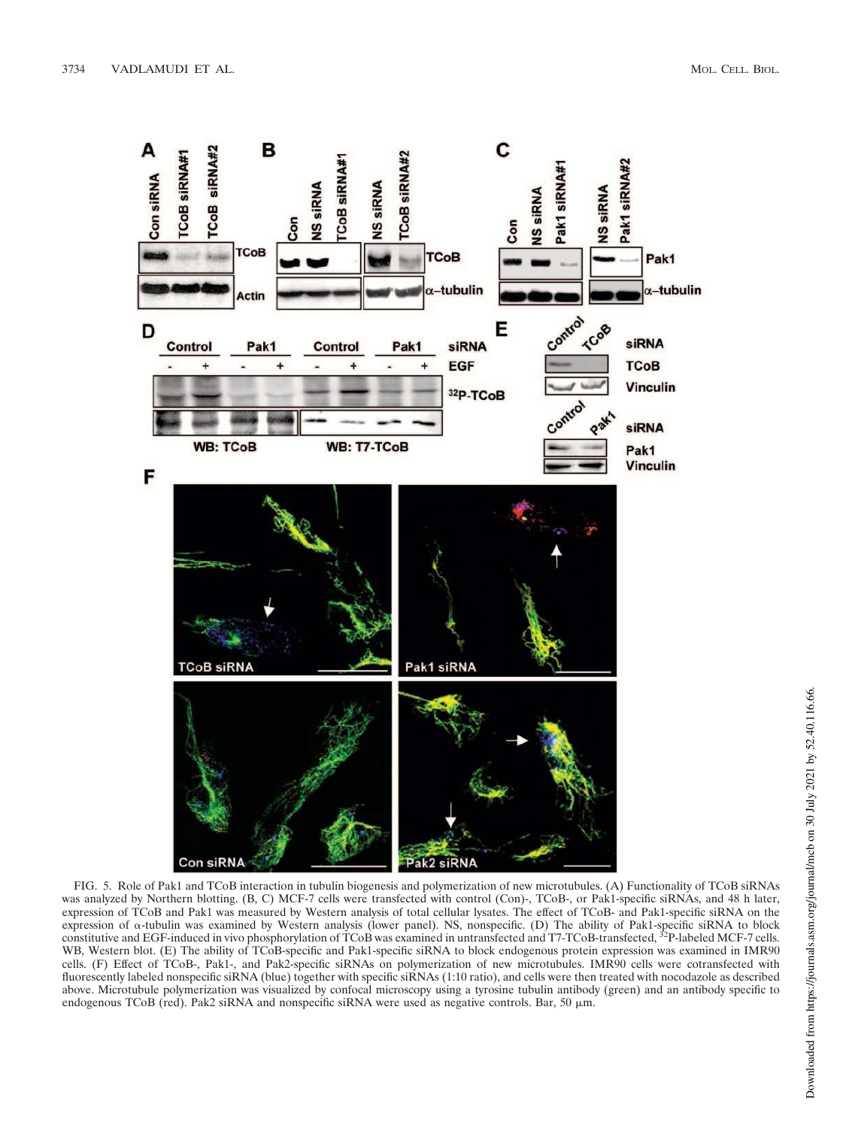

FIG. 5. Role of Pak1 and TCoB interaction in tubulin biogenesis and polymerization of new microtubules. (A) Functionality of TCoB siRNAs was analyzed by Northern blotting. (B, C) MCF-7 cells were transfected with control (Con)-, TCoB-, or Pak1-specific siRNAs, and 48 h later, expression of TCoB and Pak1 was measured by Western analysis of total cellular lysates. The effect of TCoB- and Pak1-specific siRNA on the expression of α-tubulin was examined by Western analysis (lower panel). NS, nonspecific. (D) The ability of Pak1-specific siRNA to block<br>constitutive and EGF-induced in vivo phosphorylation of TCoB was examined in untrans WB, Western blot. (E) The ability of TCoB-specific and Pak1-specific siRNA to block endogenous protein expression was examined in IMR90 cells. (F) Effect of TCoB-, Pak1-, and Pak2-specific siRNAs on polymerization of new microtubules. IMR90 cells were cotransfected with fluorescently labeled nonspecific siRNA (blue) together with specific siRNAs (1:10 ratio), and cells were then treated with nocodazole as described above. Microtubule polymerization was visualized by confocal microscopy using a tyrosine tubulin antibody (green) and an antibody specific to endogenous TCoB (red). Pak2 siRNA and nonspecific siRNA were used as negative controls. Bar, 50  $\mu$ m.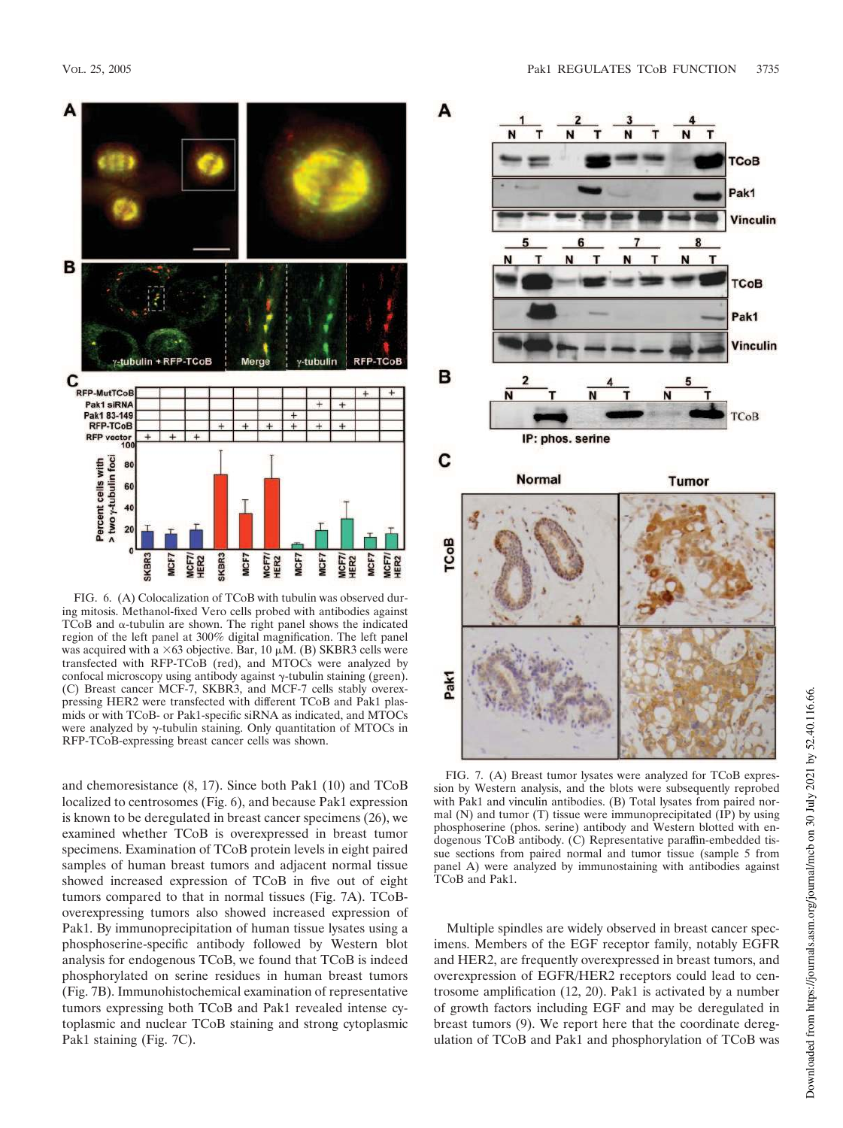

FIG. 6. (A) Colocalization of TCoB with tubulin was observed during mitosis. Methanol-fixed Vero cells probed with antibodies against  $TCoB$  and  $\alpha$ -tubulin are shown. The right panel shows the indicated region of the left panel at 300% digital magnification. The left panel was acquired with a  $\times 63$  objective. Bar, 10  $\mu$ M. (B) SKBR3 cells were transfected with RFP-TCoB (red), and MTOCs were analyzed by confocal microscopy using antibody against  $\gamma$ -tubulin staining (green). (C) Breast cancer MCF-7, SKBR3, and MCF-7 cells stably overexpressing HER2 were transfected with different TCoB and Pak1 plasmids or with TCoB- or Pak1-specific siRNA as indicated, and MTOCs were analyzed by  $\gamma$ -tubulin staining. Only quantitation of MTOCs in RFP-TCoB-expressing breast cancer cells was shown.

and chemoresistance (8, 17). Since both Pak1 (10) and TCoB localized to centrosomes (Fig. 6), and because Pak1 expression is known to be deregulated in breast cancer specimens (26), we examined whether TCoB is overexpressed in breast tumor specimens. Examination of TCoB protein levels in eight paired samples of human breast tumors and adjacent normal tissue showed increased expression of TCoB in five out of eight tumors compared to that in normal tissues (Fig. 7A). TCoBoverexpressing tumors also showed increased expression of Pak1. By immunoprecipitation of human tissue lysates using a phosphoserine-specific antibody followed by Western blot analysis for endogenous TCoB, we found that TCoB is indeed phosphorylated on serine residues in human breast tumors (Fig. 7B). Immunohistochemical examination of representative tumors expressing both TCoB and Pak1 revealed intense cytoplasmic and nuclear TCoB staining and strong cytoplasmic Pak1 staining (Fig. 7C).



FIG. 7. (A) Breast tumor lysates were analyzed for TCoB expression by Western analysis, and the blots were subsequently reprobed with Pak1 and vinculin antibodies. (B) Total lysates from paired normal (N) and tumor (T) tissue were immunoprecipitated (IP) by using phosphoserine (phos. serine) antibody and Western blotted with endogenous TCoB antibody. (C) Representative paraffin-embedded tissue sections from paired normal and tumor tissue (sample 5 from panel A) were analyzed by immunostaining with antibodies against TCoB and Pak1.

Multiple spindles are widely observed in breast cancer specimens. Members of the EGF receptor family, notably EGFR and HER2, are frequently overexpressed in breast tumors, and overexpression of EGFR/HER2 receptors could lead to centrosome amplification (12, 20). Pak1 is activated by a number of growth factors including EGF and may be deregulated in breast tumors (9). We report here that the coordinate deregulation of TCoB and Pak1 and phosphorylation of TCoB was